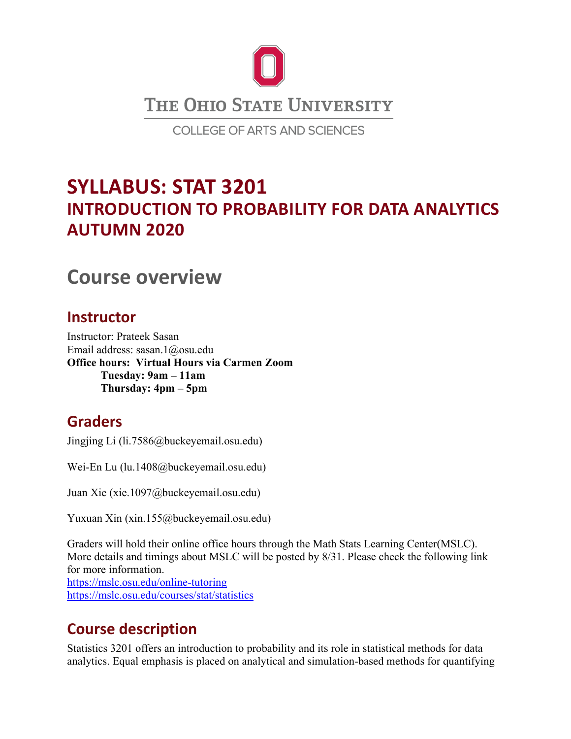

# **SYLLABUS: STAT 3201 INTRODUCTION TO PROBABILITY FOR DATA ANALYTICS AUTUMN 2020**

## **Course overview**

### **Instructor**

Instructor: Prateek Sasan Email address: sasan.1@osu.edu **Office hours: Virtual Hours via Carmen Zoom Tuesday: 9am – 11am Thursday: 4pm – 5pm**

## **Graders**

Jingjing Li (li.7586@buckeyemail.osu.edu)

Wei-En Lu (lu.1408@buckeyemail.osu.edu)

Juan Xie (xie.1097@buckeyemail.osu.edu)

Yuxuan Xin (xin.155@buckeyemail.osu.edu)

Graders will hold their online office hours through the Math Stats Learning Center(MSLC). More details and timings about MSLC will be posted by 8/31. Please check the following link for more information. <https://mslc.osu.edu/online-tutoring> <https://mslc.osu.edu/courses/stat/statistics>

## **Course description**

Statistics 3201 offers an introduction to probability and its role in statistical methods for data analytics. Equal emphasis is placed on analytical and simulation-based methods for quantifying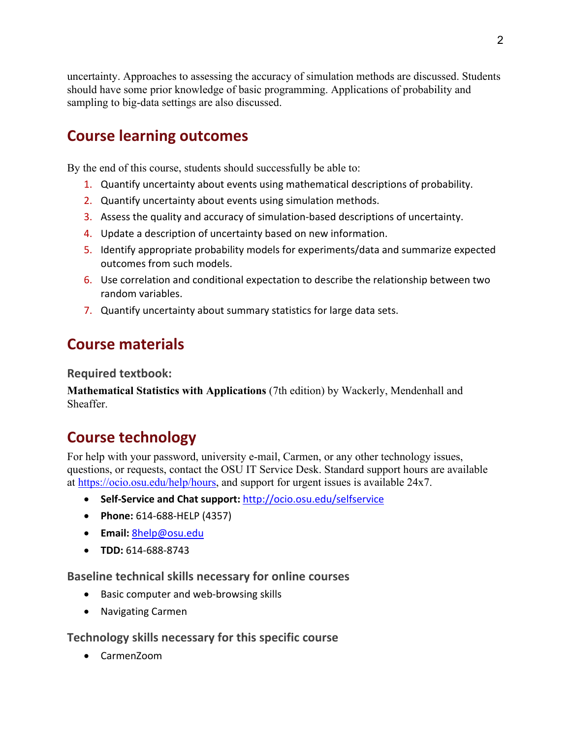uncertainty. Approaches to assessing the accuracy of simulation methods are discussed. Students should have some prior knowledge of basic programming. Applications of probability and sampling to big-data settings are also discussed.

## **Course learning outcomes**

By the end of this course, students should successfully be able to:

- 1. Quantify uncertainty about events using mathematical descriptions of probability.
- 2. Quantify uncertainty about events using simulation methods.
- 3. Assess the quality and accuracy of simulation-based descriptions of uncertainty.
- 4. Update a description of uncertainty based on new information.
- 5. Identify appropriate probability models for experiments/data and summarize expected outcomes from such models.
- 6. Use correlation and conditional expectation to describe the relationship between two random variables.
- 7. Quantify uncertainty about summary statistics for large data sets.

### **Course materials**

**Required textbook:**

**Mathematical Statistics with Applications** (7th edition) by Wackerly, Mendenhall and Sheaffer.

## **Course technology**

For help with your password, university e-mail, Carmen, or any other technology issues, questions, or requests, contact the OSU IT Service Desk. Standard support hours are available at [https://ocio.osu.edu/help/hours,](https://ocio.osu.edu/help/hours) and support for urgent issues is available 24x7.

- **Self-Service and Chat support:** <http://ocio.osu.edu/selfservice>
- **Phone:** 614-688-HELP (4357)
- **Email:** [8help@osu.edu](mailto:8help@osu.edu)
- **TDD:** 614-688-8743

**Baseline technical skills necessary for online courses**

- Basic computer and web-browsing skills
- Navigating Carmen

#### **Technology skills necessary for this specific course**

• CarmenZoom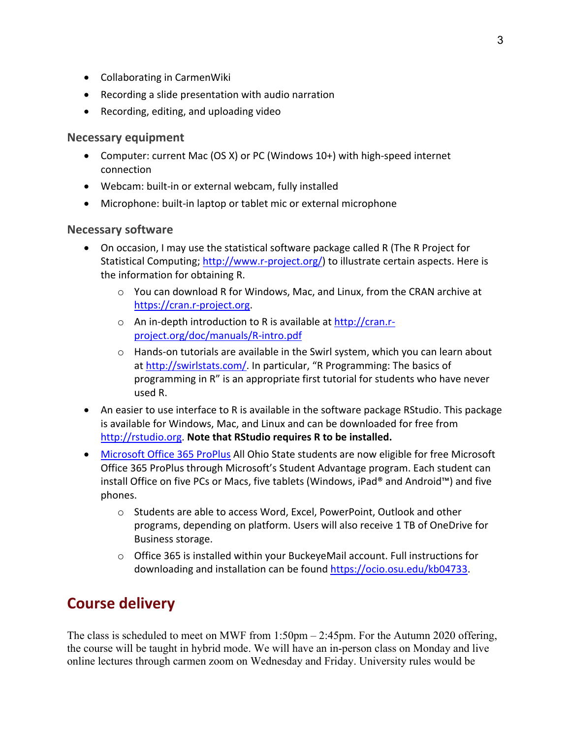- Collaborating in CarmenWiki
- Recording a slide presentation with audio narration
- Recording, editing, and uploading video

#### **Necessary equipment**

- Computer: current Mac (OS X) or PC (Windows 10+) with high-speed internet connection
- Webcam: built-in or external webcam, fully installed
- Microphone: built-in laptop or tablet mic or external microphone

#### **Necessary software**

- On occasion, I may use the statistical software package called R (The R Project for Statistical Computing; [http://www.r-project.org/\)](http://www.r-project.org/) to illustrate certain aspects. Here is the information for obtaining R.
	- o You can download R for Windows, Mac, and Linux, from the CRAN archive at [https://cran.r-project.org.](https://cran.r-project.org/)
	- o An in-depth introduction to R is available at [http://cran.r](http://cran.r-project.org/doc/manuals/R-intro.pdf)[project.org/doc/manuals/R-intro.pdf](http://cran.r-project.org/doc/manuals/R-intro.pdf)
	- $\circ$  Hands-on tutorials are available in the Swirl system, which you can learn about at [http://swirlstats.com/.](http://swirlstats.com/) In particular, "R Programming: The basics of programming in R" is an appropriate first tutorial for students who have never used R.
- An easier to use interface to R is available in the software package RStudio. This package is available for Windows, Mac, and Linux and can be downloaded for free from [http://rstudio.org.](http://rstudio.org/) **Note that RStudio requires R to be installed.**
- [Microsoft Office 365 ProPlus](https://ocio.osu.edu/blog/community/2015/08/18/free-microsoft-office-for-ohio-state-students) All Ohio State students are now eligible for free Microsoft Office 365 ProPlus through Microsoft's Student Advantage program. Each student can install Office on five PCs or Macs, five tablets (Windows, iPad® and Android™) and five phones.
	- o Students are able to access Word, Excel, PowerPoint, Outlook and other programs, depending on platform. Users will also receive 1 TB of OneDrive for Business storage.
	- $\circ$  Office 365 is installed within your BuckeyeMail account. Full instructions for downloading and installation can be found [https://ocio.osu.edu/kb04733.](https://ocio.osu.edu/kb04733)

## **Course delivery**

The class is scheduled to meet on MWF from 1:50pm – 2:45pm. For the Autumn 2020 offering, the course will be taught in hybrid mode. We will have an in-person class on Monday and live online lectures through carmen zoom on Wednesday and Friday. University rules would be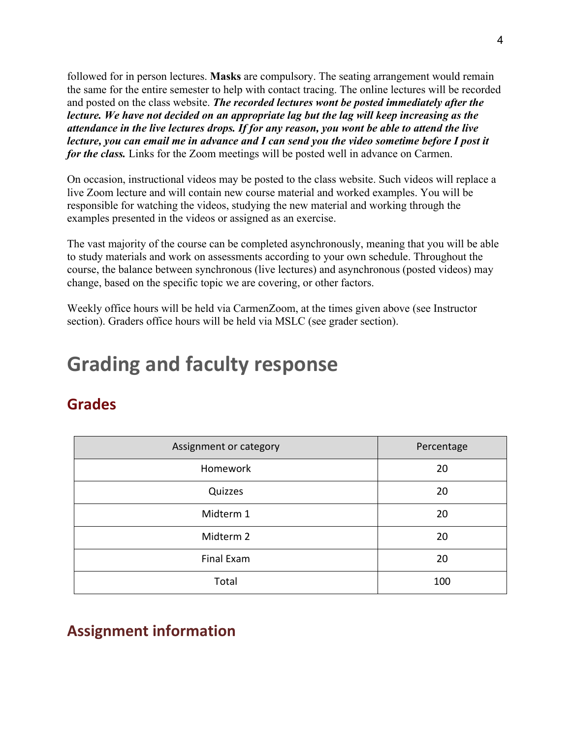followed for in person lectures. **Masks** are compulsory. The seating arrangement would remain the same for the entire semester to help with contact tracing. The online lectures will be recorded and posted on the class website. *The recorded lectures wont be posted immediately after the lecture. We have not decided on an appropriate lag but the lag will keep increasing as the attendance in the live lectures drops. If for any reason, you wont be able to attend the live lecture, you can email me in advance and I can send you the video sometime before I post it for the class.* Links for the Zoom meetings will be posted well in advance on Carmen.

On occasion, instructional videos may be posted to the class website. Such videos will replace a live Zoom lecture and will contain new course material and worked examples. You will be responsible for watching the videos, studying the new material and working through the examples presented in the videos or assigned as an exercise.

The vast majority of the course can be completed asynchronously, meaning that you will be able to study materials and work on assessments according to your own schedule. Throughout the course, the balance between synchronous (live lectures) and asynchronous (posted videos) may change, based on the specific topic we are covering, or other factors.

Weekly office hours will be held via CarmenZoom, at the times given above (see Instructor section). Graders office hours will be held via MSLC (see grader section).

# **Grading and faculty response**

## **Grades**

| Assignment or category | Percentage |
|------------------------|------------|
| Homework               | 20         |
| Quizzes                | 20         |
| Midterm 1              | 20         |
| Midterm 2              | 20         |
| Final Exam             | 20         |
| Total                  | 100        |

## **Assignment information**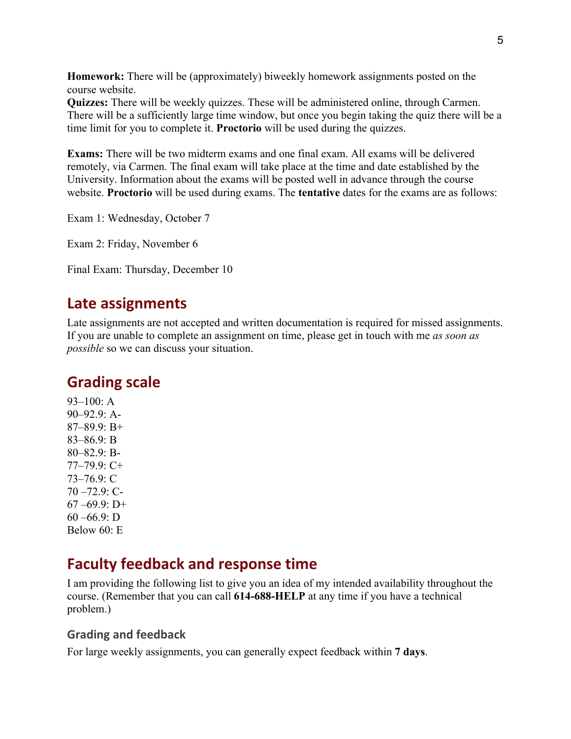**Homework:** There will be (approximately) biweekly homework assignments posted on the course website.

**Quizzes:** There will be weekly quizzes. These will be administered online, through Carmen. There will be a sufficiently large time window, but once you begin taking the quiz there will be a time limit for you to complete it. **Proctorio** will be used during the quizzes.

**Exams:** There will be two midterm exams and one final exam. All exams will be delivered remotely, via Carmen. The final exam will take place at the time and date established by the University. Information about the exams will be posted well in advance through the course website. **Proctorio** will be used during exams. The **tentative** dates for the exams are as follows:

Exam 1: Wednesday, October 7

Exam 2: Friday, November 6

Final Exam: Thursday, December 10

### **Late assignments**

Late assignments are not accepted and written documentation is required for missed assignments. If you are unable to complete an assignment on time, please get in touch with me *as soon as possible* so we can discuss your situation.

### **Grading scale**

93–100: A 90–92.9: A-87–89.9: B+ 83–86.9: B 80–82.9: B-77–79.9: C+ 73–76.9: C 70 –72.9: C- $67 - 69.9$ : D+  $60 - 66.9$ : D Below 60: E

### **Faculty feedback and response time**

I am providing the following list to give you an idea of my intended availability throughout the course. (Remember that you can call **614-688-HELP** at any time if you have a technical problem.)

#### **Grading and feedback**

For large weekly assignments, you can generally expect feedback within **7 days**.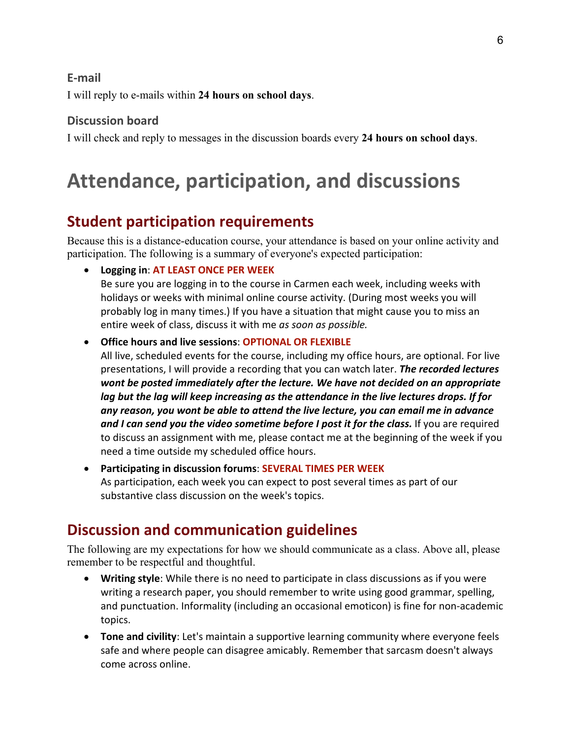#### **E-mail**

I will reply to e-mails within **24 hours on school days**.

#### **Discussion board**

I will check and reply to messages in the discussion boards every **24 hours on school days**.

# **Attendance, participation, and discussions**

## **Student participation requirements**

Because this is a distance-education course, your attendance is based on your online activity and participation. The following is a summary of everyone's expected participation:

• **Logging in**: **AT LEAST ONCE PER WEEK**

Be sure you are logging in to the course in Carmen each week, including weeks with holidays or weeks with minimal online course activity. (During most weeks you will probably log in many times.) If you have a situation that might cause you to miss an entire week of class, discuss it with me *as soon as possible.*

• **Office hours and live sessions**: **OPTIONAL OR FLEXIBLE**

All live, scheduled events for the course, including my office hours, are optional. For live presentations, I will provide a recording that you can watch later. *The recorded lectures wont be posted immediately after the lecture. We have not decided on an appropriate lag but the lag will keep increasing as the attendance in the live lectures drops. If for any reason, you wont be able to attend the live lecture, you can email me in advance and I can send you the video sometime before I post it for the class.* If you are required to discuss an assignment with me, please contact me at the beginning of the week if you need a time outside my scheduled office hours.

• **Participating in discussion forums**: **SEVERAL TIMES PER WEEK** As participation, each week you can expect to post several times as part of our substantive class discussion on the week's topics.

## **Discussion and communication guidelines**

The following are my expectations for how we should communicate as a class. Above all, please remember to be respectful and thoughtful.

- **Writing style**: While there is no need to participate in class discussions as if you were writing a research paper, you should remember to write using good grammar, spelling, and punctuation. Informality (including an occasional emoticon) is fine for non-academic topics.
- **Tone and civility**: Let's maintain a supportive learning community where everyone feels safe and where people can disagree amicably. Remember that sarcasm doesn't always come across online.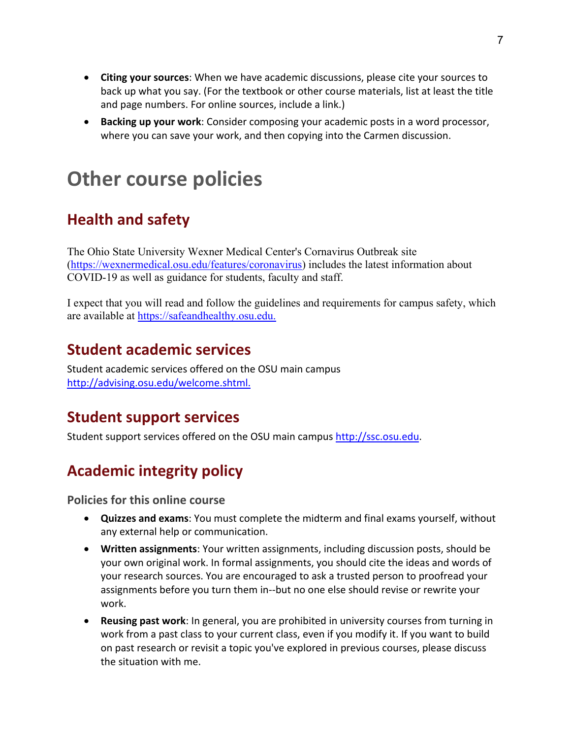- **Citing your sources**: When we have academic discussions, please cite your sources to back up what you say. (For the textbook or other course materials, list at least the title and page numbers. For online sources, include a link.)
- **Backing up your work**: Consider composing your academic posts in a word processor, where you can save your work, and then copying into the Carmen discussion.

# **Other course policies**

## **Health and safety**

The Ohio State University Wexner Medical Center's Cornavirus Outbreak site [\(https://wexnermedical.osu.edu/features/coronavirus\)](https://wexnermedical.osu.edu/features/coronavirus) includes the latest information about COVID-19 as well as guidance for students, faculty and staff.

I expect that you will read and follow the guidelines and requirements for campus safety, which are available at [https://safeandhealthy.osu.edu.](https://safeandhealthy.osu.edu/)

## **Student academic services**

Student academic services offered on the OSU main campus [http://advising.osu.edu/welcome.shtml.](http://advising.osu.edu/welcome.shtml)

## **Student support services**

Student support services offered on the OSU main campus [http://ssc.osu.edu.](http://ssc.osu.edu/)

## **Academic integrity policy**

**Policies for this online course**

- **Quizzes and exams**: You must complete the midterm and final exams yourself, without any external help or communication.
- **Written assignments**: Your written assignments, including discussion posts, should be your own original work. In formal assignments, you should cite the ideas and words of your research sources. You are encouraged to ask a trusted person to proofread your assignments before you turn them in--but no one else should revise or rewrite your work.
- **Reusing past work**: In general, you are prohibited in university courses from turning in work from a past class to your current class, even if you modify it. If you want to build on past research or revisit a topic you've explored in previous courses, please discuss the situation with me.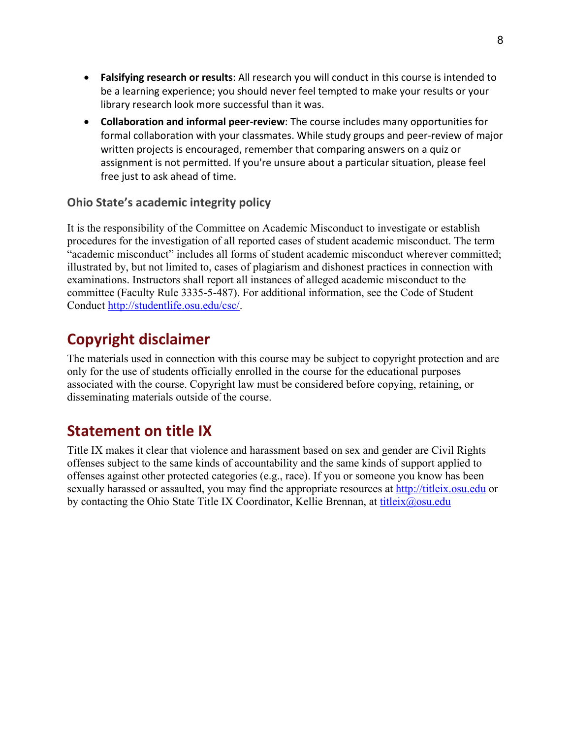- **Falsifying research or results**: All research you will conduct in this course is intended to be a learning experience; you should never feel tempted to make your results or your library research look more successful than it was.
- **Collaboration and informal peer-review**: The course includes many opportunities for formal collaboration with your classmates. While study groups and peer-review of major written projects is encouraged, remember that comparing answers on a quiz or assignment is not permitted. If you're unsure about a particular situation, please feel free just to ask ahead of time.

#### **Ohio State's academic integrity policy**

It is the responsibility of the Committee on Academic Misconduct to investigate or establish procedures for the investigation of all reported cases of student academic misconduct. The term "academic misconduct" includes all forms of student academic misconduct wherever committed; illustrated by, but not limited to, cases of plagiarism and dishonest practices in connection with examinations. Instructors shall report all instances of alleged academic misconduct to the committee (Faculty Rule 3335-5-487). For additional information, see the Code of Student Conduct [http://studentlife.osu.edu/csc/.](http://studentlife.osu.edu/csc/)

## **Copyright disclaimer**

The materials used in connection with this course may be subject to copyright protection and are only for the use of students officially enrolled in the course for the educational purposes associated with the course. Copyright law must be considered before copying, retaining, or disseminating materials outside of the course.

## **Statement on title IX**

Title IX makes it clear that violence and harassment based on sex and gender are Civil Rights offenses subject to the same kinds of accountability and the same kinds of support applied to offenses against other protected categories (e.g., race). If you or someone you know has been sexually harassed or assaulted, you may find the appropriate resources at [http://titleix.osu.edu](http://titleix.osu.edu/) or by contacting the Ohio State Title IX Coordinator, Kellie Brennan, at [titleix@osu.edu](mailto:titleix@osu.edu)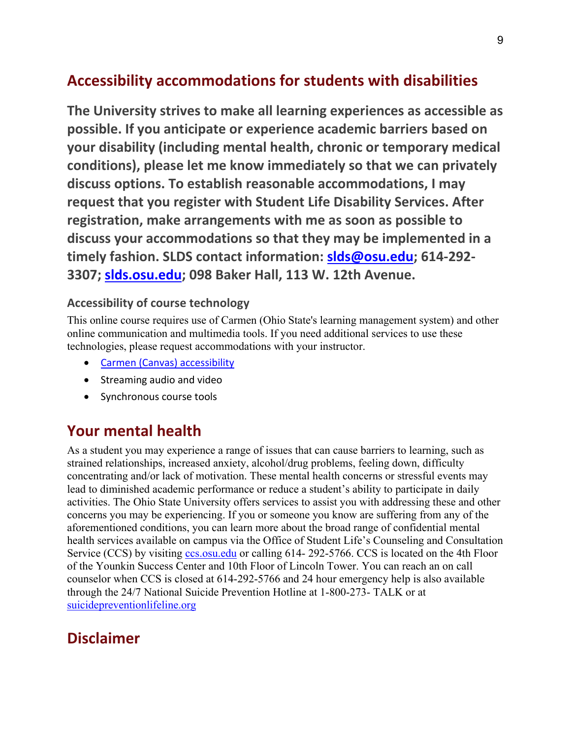## **Accessibility accommodations for students with disabilities**

**The University strives to make all learning experiences as accessible as possible. If you anticipate or experience academic barriers based on your disability (including mental health, chronic or temporary medical conditions), please let me know immediately so that we can privately discuss options. To establish reasonable accommodations, I may request that you register with Student Life Disability Services. After registration, make arrangements with me as soon as possible to discuss your accommodations so that they may be implemented in a timely fashion. SLDS contact information: [slds@osu.edu;](http://slds@osu.edu) 614-292- 3307; [slds.osu.edu;](http://slds.osu.edu/) 098 Baker Hall, 113 W. 12th Avenue.**

#### **Accessibility of course technology**

This online course requires use of Carmen (Ohio State's learning management system) and other online communication and multimedia tools. If you need additional services to use these technologies, please request accommodations with your instructor.

- [Carmen \(Canvas\) accessibility](https://community.canvaslms.com/docs/DOC-2061)
- Streaming audio and video
- Synchronous course tools

## **Your mental health**

As a student you may experience a range of issues that can cause barriers to learning, such as strained relationships, increased anxiety, alcohol/drug problems, feeling down, difficulty concentrating and/or lack of motivation. These mental health concerns or stressful events may lead to diminished academic performance or reduce a student's ability to participate in daily activities. The Ohio State University offers services to assist you with addressing these and other concerns you may be experiencing. If you or someone you know are suffering from any of the aforementioned conditions, you can learn more about the broad range of confidential mental health services available on campus via the Office of Student Life's Counseling and Consultation Service (CCS) by visiting [ccs.osu.edu](http://ccs.osu.edu/) or calling 614-292-5766. CCS is located on the 4th Floor of the Younkin Success Center and 10th Floor of Lincoln Tower. You can reach an on call counselor when CCS is closed at 614-292-5766 and 24 hour emergency help is also available through the 24/7 National Suicide Prevention Hotline at 1-800-273- TALK or at [suicidepreventionlifeline.org](http://suicidepreventionlifeline.org/)

## **Disclaimer**